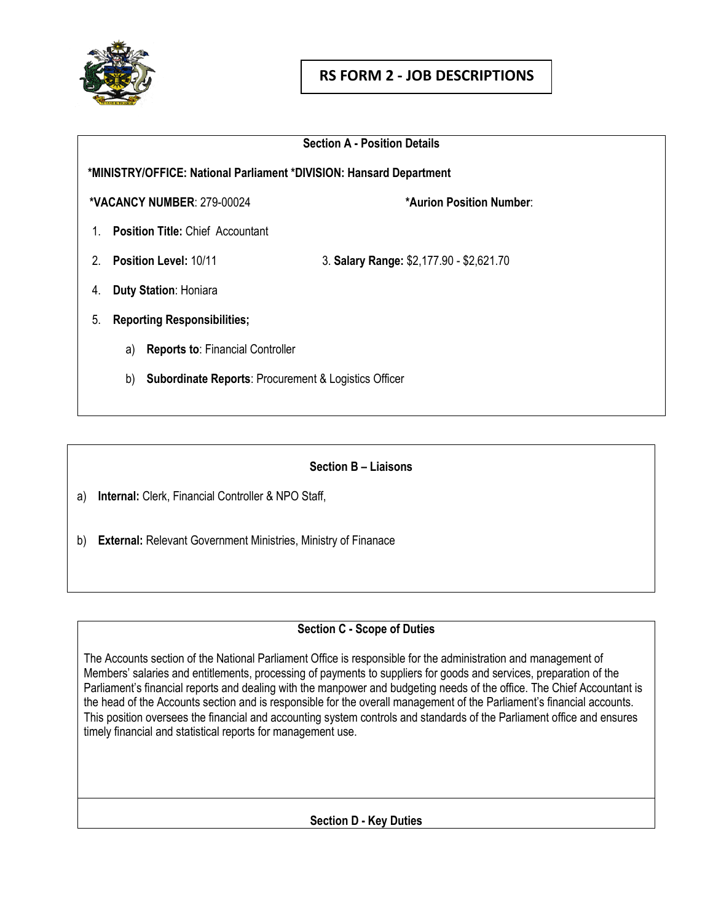

|    | <b>Section A - Position Details</b>                                   |                                          |  |  |
|----|-----------------------------------------------------------------------|------------------------------------------|--|--|
|    | *MINISTRY/OFFICE: National Parliament *DIVISION: Hansard Department   |                                          |  |  |
|    | <b>*VACANCY NUMBER: 279-00024</b>                                     | *Aurion Position Number:                 |  |  |
| 1  | <b>Position Title: Chief Accountant</b>                               |                                          |  |  |
| 2  | Position Level: 10/11                                                 | 3. Salary Range: \$2,177.90 - \$2,621.70 |  |  |
| 4. | <b>Duty Station: Honiara</b>                                          |                                          |  |  |
| 5. | <b>Reporting Responsibilities;</b>                                    |                                          |  |  |
|    | <b>Reports to: Financial Controller</b><br>a)                         |                                          |  |  |
|    | <b>Subordinate Reports: Procurement &amp; Logistics Officer</b><br>b) |                                          |  |  |
|    |                                                                       |                                          |  |  |

#### **Section B – Liaisons**

a) **Internal:** Clerk, Financial Controller & NPO Staff,

b) **External:** Relevant Government Ministries, Ministry of Finanace

## **Section C - Scope of Duties**

The Accounts section of the National Parliament Office is responsible for the administration and management of Members' salaries and entitlements, processing of payments to suppliers for goods and services, preparation of the Parliament's financial reports and dealing with the manpower and budgeting needs of the office. The Chief Accountant is the head of the Accounts section and is responsible for the overall management of the Parliament's financial accounts. This position oversees the financial and accounting system controls and standards of the Parliament office and ensures timely financial and statistical reports for management use.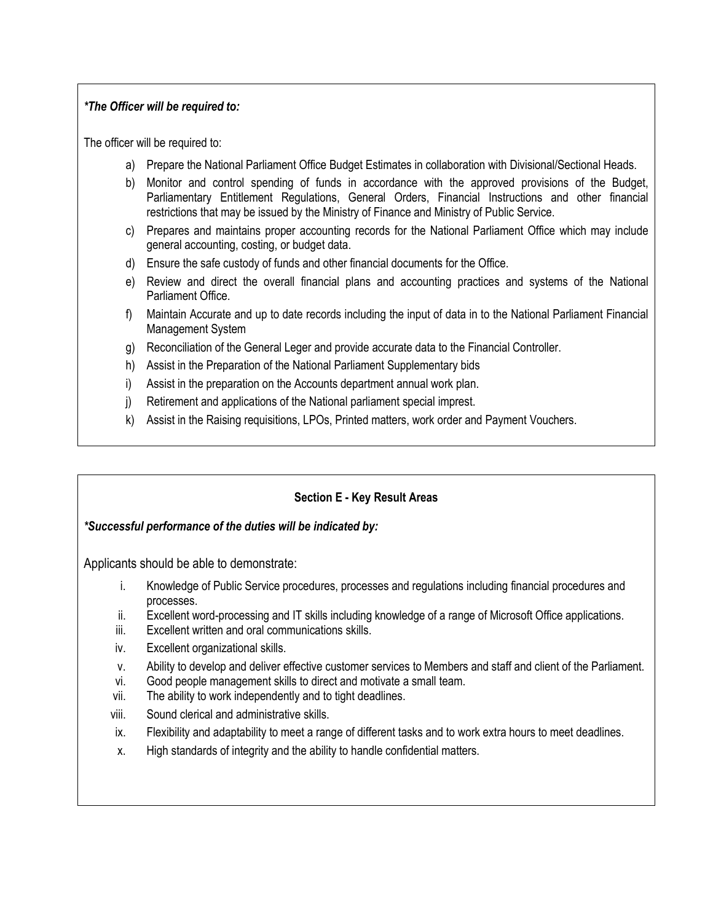#### *\*The Officer will be required to:*

The officer will be required to:

- a) Prepare the National Parliament Office Budget Estimates in collaboration with Divisional/Sectional Heads.
- b) Monitor and control spending of funds in accordance with the approved provisions of the Budget, Parliamentary Entitlement Regulations, General Orders, Financial Instructions and other financial restrictions that may be issued by the Ministry of Finance and Ministry of Public Service.
- c) Prepares and maintains proper accounting records for the National Parliament Office which may include general accounting, costing, or budget data.
- d) Ensure the safe custody of funds and other financial documents for the Office.
- e) Review and direct the overall financial plans and accounting practices and systems of the National Parliament Office.
- f) Maintain Accurate and up to date records including the input of data in to the National Parliament Financial Management System
- g) Reconciliation of the General Leger and provide accurate data to the Financial Controller.
- h) Assist in the Preparation of the National Parliament Supplementary bids
- i) Assist in the preparation on the Accounts department annual work plan.
- j) Retirement and applications of the National parliament special imprest.
- k) Assist in the Raising requisitions, LPOs, Printed matters, work order and Payment Vouchers.

## **Section E - Key Result Areas**

#### *\*Successful performance of the duties will be indicated by:*

Applicants should be able to demonstrate:

- i. Knowledge of Public Service procedures, processes and regulations including financial procedures and processes.
- ii. Excellent word-processing and IT skills including knowledge of a range of Microsoft Office applications.
- iii. Excellent written and oral communications skills.
- iv. Excellent organizational skills.
- v. Ability to develop and deliver effective customer services to Members and staff and client of the Parliament.
- vi. Good people management skills to direct and motivate a small team.
- vii. The ability to work independently and to tight deadlines.
- viii. Sound clerical and administrative skills.
- ix. Flexibility and adaptability to meet a range of different tasks and to work extra hours to meet deadlines.
- x. High standards of integrity and the ability to handle confidential matters.